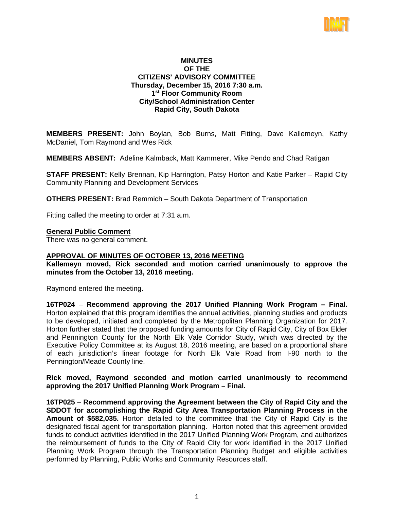

## **MINUTES OF THE CITIZENS' ADVISORY COMMITTEE Thursday, December 15, 2016 7:30 a.m. 1st Floor Community Room City/School Administration Center Rapid City, South Dakota**

**MEMBERS PRESENT:** John Boylan, Bob Burns, Matt Fitting, Dave Kallemeyn, Kathy McDaniel, Tom Raymond and Wes Rick

**MEMBERS ABSENT:** Adeline Kalmback, Matt Kammerer, Mike Pendo and Chad Ratigan

**STAFF PRESENT:** Kelly Brennan, Kip Harrington, Patsy Horton and Katie Parker – Rapid City Community Planning and Development Services

**OTHERS PRESENT:** Brad Remmich – South Dakota Department of Transportation

Fitting called the meeting to order at 7:31 a.m.

### **General Public Comment**

There was no general comment.

## **APPROVAL OF MINUTES OF OCTOBER 13, 2016 MEETING**

**Kallemeyn moved, Rick seconded and motion carried unanimously to approve the minutes from the October 13, 2016 meeting.**

Raymond entered the meeting.

**16TP024** – **Recommend approving the 2017 Unified Planning Work Program – Final.** Horton explained that this program identifies the annual activities, planning studies and products to be developed, initiated and completed by the Metropolitan Planning Organization for 2017. Horton further stated that the proposed funding amounts for City of Rapid City, City of Box Elder and Pennington County for the North Elk Vale Corridor Study, which was directed by the Executive Policy Committee at its August 18, 2016 meeting, are based on a proportional share of each jurisdiction's linear footage for North Elk Vale Road from I-90 north to the Pennington/Meade County line.

**Rick moved, Raymond seconded and motion carried unanimously to recommend approving the 2017 Unified Planning Work Program – Final.**

**16TP025** – **Recommend approving the Agreement between the City of Rapid City and the SDDOT for accomplishing the Rapid City Area Transportation Planning Process in the Amount of \$582,035.** Horton detailed to the committee that the City of Rapid City is the designated fiscal agent for transportation planning. Horton noted that this agreement provided funds to conduct activities identified in the 2017 Unified Planning Work Program, and authorizes the reimbursement of funds to the City of Rapid City for work identified in the 2017 Unified Planning Work Program through the Transportation Planning Budget and eligible activities performed by Planning, Public Works and Community Resources staff.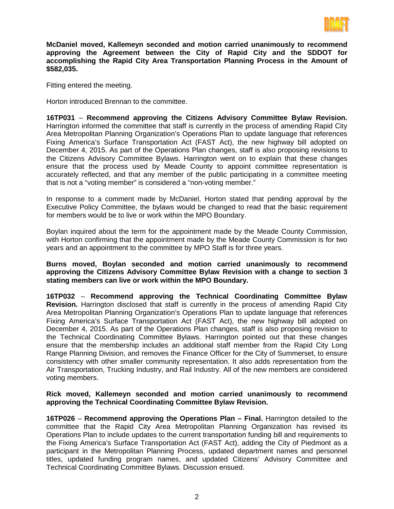

**McDaniel moved, Kallemeyn seconded and motion carried unanimously to recommend approving the Agreement between the City of Rapid City and the SDDOT for accomplishing the Rapid City Area Transportation Planning Process in the Amount of \$582,035.**

Fitting entered the meeting.

Horton introduced Brennan to the committee.

**16TP031** – **Recommend approving the Citizens Advisory Committee Bylaw Revision.** Harrington informed the committee that staff is currently in the process of amending Rapid City Area Metropolitan Planning Organization's Operations Plan to update language that references Fixing America's Surface Transportation Act (FAST Act), the new highway bill adopted on December 4, 2015. As part of the Operations Plan changes, staff is also proposing revisions to the Citizens Advisory Committee Bylaws. Harrington went on to explain that these changes ensure that the process used by Meade County to appoint committee representation is accurately reflected, and that any member of the public participating in a committee meeting that is not a "voting member" is considered a "non-voting member."

In response to a comment made by McDaniel, Horton stated that pending approval by the Executive Policy Committee, the bylaws would be changed to read that the basic requirement for members would be to live or work within the MPO Boundary.

Boylan inquired about the term for the appointment made by the Meade County Commission, with Horton confirming that the appointment made by the Meade County Commission is for two years and an appointment to the committee by MPO Staff is for three years.

**Burns moved, Boylan seconded and motion carried unanimously to recommend approving the Citizens Advisory Committee Bylaw Revision with a change to section 3 stating members can live or work within the MPO Boundary.** 

**16TP032** – **Recommend approving the Technical Coordinating Committee Bylaw Revision.** Harrington disclosed that staff is currently in the process of amending Rapid City Area Metropolitan Planning Organization's Operations Plan to update language that references Fixing America's Surface Transportation Act (FAST Act), the new highway bill adopted on December 4, 2015. As part of the Operations Plan changes, staff is also proposing revision to the Technical Coordinating Committee Bylaws. Harrington pointed out that these changes ensure that the membership includes an additional staff member from the Rapid City Long Range Planning Division, and removes the Finance Officer for the City of Summerset, to ensure consistency with other smaller community representation. It also adds representation from the Air Transportation, Trucking Industry, and Rail Industry. All of the new members are considered voting members.

## **Rick moved, Kallemeyn seconded and motion carried unanimously to recommend approving the Technical Coordinating Committee Bylaw Revision.**

**16TP026** – **Recommend approving the Operations Plan – Final.** Harrington detailed to the committee that the Rapid City Area Metropolitan Planning Organization has revised its Operations Plan to include updates to the current transportation funding bill and requirements to the Fixing America's Surface Transportation Act (FAST Act), adding the City of Piedmont as a participant in the Metropolitan Planning Process, updated department names and personnel titles, updated funding program names, and updated Citizens' Advisory Committee and Technical Coordinating Committee Bylaws. Discussion ensued.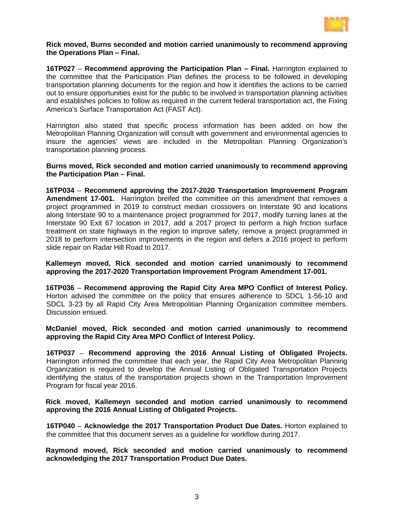

## **Rick moved, Burns seconded and motion carried unanimously to recommend approving the Operations Plan – Final.**

**16TP027** – **Recommend approving the Participation Plan – Final.** Harrington explained to the committee that the Participation Plan defines the process to be followed in developing transportation planning documents for the region and how it identifies the actions to be carried out to ensure opportunities exist for the public to be involved in transportation planning activities and establishes policies to follow as required in the current federal transportation act, the Fixing America's Surface Transportation Act (FAST Act).

Harrington also stated that specific process information has been added on how the Metropolitan Planning Organization will consult with government and environmental agencies to insure the agencies' views are included in the Metropolitan Planning Organization's transportation planning process.

**Burns moved, Rick seconded and motion carried unanimously to recommend approving the Participation Plan – Final.**

**16TP034** – **Recommend approving the 2017-2020 Transportation Improvement Program Amendment 17-001.** Harrington breifed the committee on this amendment that removes a project programmed in 2019 to construct median crossovers on Interstate 90 and locations along Interstate 90 to a maintenance project programmed for 2017, modify turning lanes at the Interstate 90 Exit 67 location in 2017, add a 2017 project to perform a high friction surface treatment on state highways in the region to improve safety, remove a project programmed in 2018 to perform intersection improvements in the region and defers a 2016 project to perform slide repair on Radar Hill Road to 2017.

**Kallemeyn moved, Rick seconded and motion carried unanimously to recommend approving the 2017-2020 Transportation Improvement Program Amendment 17-001.**

**16TP036** – **Recommend approving the Rapid City Area MPO Conflict of Interest Policy.** Horton advised the committee on the policy that ensures adherence to SDCL 1-56-10 and SDCL 3-23 by all Rapid City Area Metropolitian Planning Organization committee members. Discussion ensued.

**McDaniel moved, Rick seconded and motion carried unanimously to recommend approving the Rapid City Area MPO Conflict of Interest Policy.**

**16TP037** – **Recommend approving the 2016 Annual Listing of Obligated Projects.** Harrington informed the committee that each year, the Rapid City Area Metropolitan Planning Organization is required to develop the Annual Listing of Obligated Transportation Projects identifying the status of the transportation projects shown in the Transportation Improvement Program for fiscal year 2016.

**Rick moved, Kallemeyn seconded and motion carried unanimously to recommend approving the 2016 Annual Listing of Obligated Projects.**

**16TP040** – **Acknowledge the 2017 Transportation Product Due Dates.** Horton explained to the committee that this document serves as a guideline for workflow during 2017.

**Raymond moved, Rick seconded and motion carried unanimously to recommend acknowledging the 2017 Transportation Product Due Dates.**